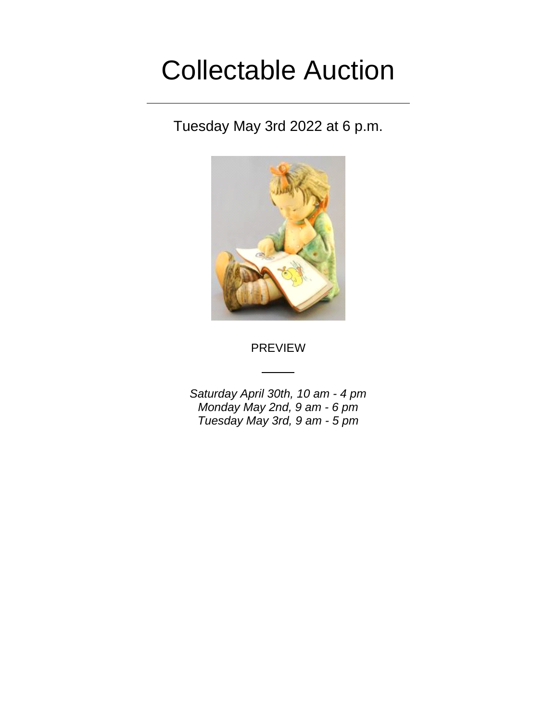## Collectable Auction

Tuesday May 3rd 2022 at 6 p.m.



PREVIEW

*Saturday April 30th, 10 am - 4 pm Monday May 2nd, 9 am - 6 pm Tuesday May 3rd, 9 am - 5 pm*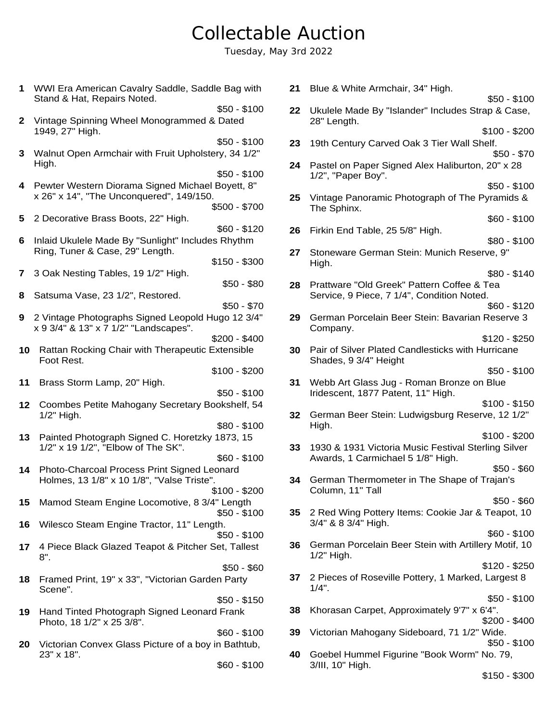## Collectable Auction

Tuesday, May 3rd 2022

**7** 3 Oak Nesting Tables, 19 1/2" High. \$50 - \$80 \$50 - \$100 **8** Satsuma Vase, 23 1/2", Restored. \$50 - \$70 **3** Walnut Open Armchair with Fruit Upholstery, 34 1/2" High. **9** 2 Vintage Photographs Signed Leopold Hugo 12 3/4" x 9 3/4" & 13" x 7 1/2" "Landscapes". \$200 - \$400 \$50 - \$100 **10** Rattan Rocking Chair with Therapeutic Extensible Foot Rest. \$100 - \$200 **1** WWI Era American Cavalry Saddle, Saddle Bag with **11** Brass Storm Lamp, 20" High. \$50 - \$100 **4** Pewter Western Diorama Signed Michael Boyett, 8" x 26" x 14", "The Unconquered", 149/150. **12** Coombes Petite Mahogany Secretary Bookshelf, 54 1/2" High. \$80 - \$100 \$500 - \$700 **13** Painted Photograph Signed C. Horetzky 1873, 15 1/2" x 19 1/2", "Elbow of The SK". \$60 - \$100 Stand & Hat, Repairs Noted. **14** Photo-Charcoal Process Print Signed Leonard Holmes, 13 1/8" x 10 1/8", "Valse Triste". \$100 - \$200 **2** Vintage Spinning Wheel Monogrammed & Dated **5** 2 Decorative Brass Boots, 22" High. **15** Mamod Steam Engine Locomotive, 8 3/4" Length \$50 - \$100 **16** Wilesco Steam Engine Tractor, 11" Length. \$50 - \$100 \$60 - \$120 1949, 27" High. **17** 4 Piece Black Glazed Teapot & Pitcher Set, Tallest 8". \$50 - \$60 **18** Framed Print, 19" x 33", "Victorian Garden Party Scene". \$50 - \$150 **6** Inlaid Ukulele Made By "Sunlight" Includes Rhythm Ring, Tuner & Case, 29" Length. **19** Hand Tinted Photograph Signed Leonard Frank Photo, 18 1/2" x 25 3/8". \$60 - \$100 \$150 - \$300 **20** Victorian Convex Glass Picture of a boy in Bathtub, 23" x 18". \$60 - \$100 \$50 - \$100

| 21 | Blue & White Armchair, 34" High.                                                                |  |
|----|-------------------------------------------------------------------------------------------------|--|
|    | \$50 - \$100                                                                                    |  |
| 22 | Ukulele Made By "Islander" Includes Strap & Case,<br>28" Length.                                |  |
| 23 | $$100 - $200$<br>19th Century Carved Oak 3 Tier Wall Shelf.                                     |  |
| 24 | $$50 - $70$<br>Pastel on Paper Signed Alex Haliburton, 20" x 28                                 |  |
|    | 1/2", "Paper Boy".<br>\$50 - \$100                                                              |  |
| 25 | Vintage Panoramic Photograph of The Pyramids &<br>The Sphinx.                                   |  |
| 26 | $$60 - $100$<br>Firkin End Table, 25 5/8" High.                                                 |  |
| 27 | $$80 - $100$<br>Stoneware German Stein: Munich Reserve, 9"                                      |  |
|    | High.<br>$$80 - $140$                                                                           |  |
| 28 | Prattware "Old Greek" Pattern Coffee & Tea<br>Service, 9 Piece, 7 1/4", Condition Noted.        |  |
| 29 | \$60 - \$120<br>German Porcelain Beer Stein: Bavarian Reserve 3                                 |  |
|    | Company.<br>$$120 - $250$                                                                       |  |
| 30 | Pair of Silver Plated Candlesticks with Hurricane<br>Shades, 9 3/4" Height                      |  |
| 31 | $$50 - $100$<br>Webb Art Glass Jug - Roman Bronze on Blue<br>Iridescent, 1877 Patent, 11" High. |  |
| 32 | $$100 - $150$<br>German Beer Stein: Ludwigsburg Reserve, 12 1/2"                                |  |
|    | High.<br>$$100 - $200$                                                                          |  |
| 33 | 1930 & 1931 Victoria Music Festival Sterling Silver<br>Awards, 1 Carmichael 5 1/8" High.        |  |
|    | $$50 - $60$                                                                                     |  |
| 34 | German Thermometer in The Shape of Trajan's<br>Column, 11" Tall                                 |  |
|    | $$50 - $60$                                                                                     |  |
| 35 | 2 Red Wing Pottery Items: Cookie Jar & Teapot, 10<br>3/4" & 8 3/4" High.<br>$$60 - $100$        |  |
| 36 | German Porcelain Beer Stein with Artillery Motif, 10<br>1/2" High.                              |  |
| 37 | \$120 - \$250<br>2 Pieces of Roseville Pottery, 1 Marked, Largest 8                             |  |
|    | $1/4$ ".<br>$$50 - $100$                                                                        |  |
| 38 | Khorasan Carpet, Approximately 9'7" x 6'4".<br>\$200 - \$400                                    |  |
| 39 | Victorian Mahogany Sideboard, 71 1/2" Wide.<br>$$50 - $100$                                     |  |
| 40 | Goebel Hummel Figurine "Book Worm" No. 79,<br>3/III, 10" High.                                  |  |

\$150 - \$300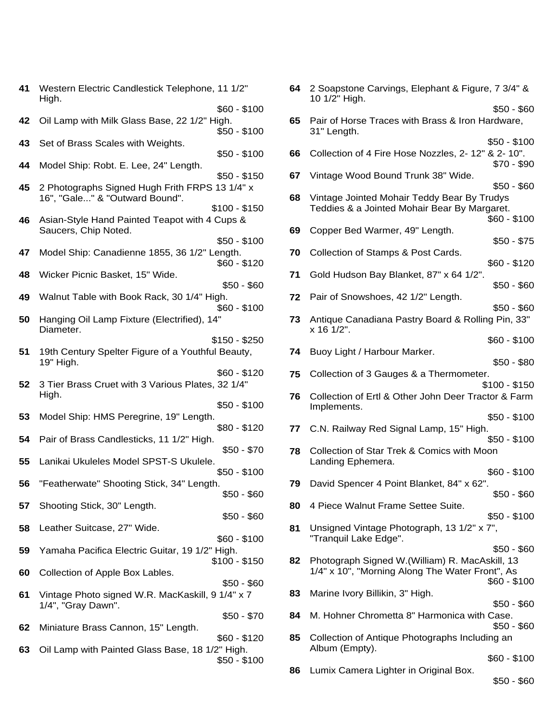| 41       | Western Electric Candlestick Telephone, 11 1/2"<br>High.                                           | 64 | 2 Soapston<br>10 1/2" High         |
|----------|----------------------------------------------------------------------------------------------------|----|------------------------------------|
| 42       | $$60 - $100$<br>Oil Lamp with Milk Glass Base, 22 1/2" High.<br>$$50 - $100$                       | 65 | Pair of Hors<br>31" Length.        |
| 43       | Set of Brass Scales with Weights.<br>$$50 - $100$                                                  | 66 | Collection o                       |
| 44       | Model Ship: Robt. E. Lee, 24" Length.<br>$$50 - $150$                                              | 67 | Vintage Wo                         |
| 45       | 2 Photographs Signed Hugh Frith FRPS 13 1/4" x<br>16", "Gale" & "Outward Bound".                   | 68 | Vintage Joir                       |
| 46       | $$100 - $150$<br>Asian-Style Hand Painted Teapot with 4 Cups &<br>Saucers, Chip Noted.             | 69 | Teddies & a<br>Copper Bed          |
| 47       | $$50 - $100$<br>Model Ship: Canadienne 1855, 36 1/2" Length.                                       | 70 | Collection o                       |
| 48       | $$60 - $120$<br>Wicker Picnic Basket, 15" Wide.<br>$$50 - $60$                                     | 71 | <b>Gold Hudso</b>                  |
| 49       | Walnut Table with Book Rack, 30 1/4" High.<br>\$60 - \$100                                         | 72 | Pair of Snov                       |
| 50       | Hanging Oil Lamp Fixture (Electrified), 14"<br>Diameter.                                           | 73 | Antique Car<br>x 16 1/2".          |
| 51       | $$150 - $250$<br>19th Century Spelter Figure of a Youthful Beauty,<br>19" High.                    | 74 | Buoy Light /                       |
| 52       | $$60 - $120$<br>3 Tier Brass Cruet with 3 Various Plates, 32 1/4"<br>High.                         | 75 | Collection o                       |
| 53       | $$50 - $100$<br>Model Ship: HMS Peregrine, 19" Length.                                             | 76 | Collection o<br>Implements         |
| 54       | $$80 - $120$<br>Pair of Brass Candlesticks, 11 1/2" High.                                          | 77 | C.N. Railwa                        |
| 55       | $$50 - $70$<br>Lanikai Ukuleles Model SPST-S Ukulele.<br>$$50 - $100$                              | 78 | Collection o<br><b>Landing Epl</b> |
| 56       | "Featherwate" Shooting Stick, 34" Length.<br>\$50 - \$60                                           | 79 | David Spen                         |
| 57       | Shooting Stick, 30" Length.<br>$$50 - $60$                                                         | 80 | 4 Piece Wal                        |
| 58       | Leather Suitcase, 27" Wide.<br>$$60 - $100$                                                        | 81 | Unsigned V<br>"Tranquil La         |
| 59<br>60 | Yamaha Pacifica Electric Guitar, 19 1/2" High.<br>$$100 - $150$<br>Collection of Apple Box Lables. | 82 | Photograph<br>$1/4" \times 10",$   |
| 61       | $$50 - $60$<br>Vintage Photo signed W.R. MacKaskill, 9 1/4" x 7                                    | 83 | Marine Ivory                       |
| 62       | 1/4", "Gray Dawn".<br>$$50 - $70$<br>Miniature Brass Cannon, 15" Length.                           | 84 | M. Hohner (                        |
| 63       | $$60 - $120$<br>Oil Lamp with Painted Glass Base, 18 1/2" High.                                    | 85 | Collection o<br>Album (Emp         |
|          | $$50 - $100$                                                                                       |    |                                    |

| , 11 1/2"              | 64 - | 2 Soapstone Carvings, Elephant & Figure, 7 3/4" &<br>10 1/2" High. |
|------------------------|------|--------------------------------------------------------------------|
| $$60 - $100$           |      | $$50 - $60$                                                        |
| -ligh.                 |      | 65 Pair of Horse Traces with Brass & Iron Hardware,                |
| $$50 - $100$           |      | 31" Length.                                                        |
|                        |      | $$50 - $100$                                                       |
| $$50 - $100$           | 66   | Collection of 4 Fire Hose Nozzles, 2-12" & 2-10".                  |
|                        |      | $$70 - $90$                                                        |
| $$50 - $150$           | 67   | Vintage Wood Bound Trunk 38" Wide.                                 |
|                        |      | $$50 - $60$                                                        |
| $131/4"$ x             |      |                                                                    |
|                        | 68   | Vintage Jointed Mohair Teddy Bear By Trudys                        |
| \$100 - \$150          |      | Teddies & a Jointed Mohair Bear By Margaret.                       |
| Cups &                 |      | \$60 - \$100                                                       |
|                        | 69   | Copper Bed Warmer, 49" Length.                                     |
| $$50 - $100$           |      | $$50 - $75$                                                        |
| ength.                 | 70   | Collection of Stamps & Post Cards.                                 |
| $$60 - $120$           |      | \$60 - \$120                                                       |
|                        | 71   | Gold Hudson Bay Blanket, 87" x 64 1/2".                            |
| $$50 - $60$            |      | $$50 - $60$                                                        |
| igh.                   | 72   | Pair of Snowshoes, 42 1/2" Length.                                 |
| $$60 - $100$           |      | $$50 - $60$                                                        |
| 4"                     |      |                                                                    |
|                        | 73.  | Antique Canadiana Pastry Board & Rolling Pin, 33"                  |
|                        |      | x 16 1/2".                                                         |
| \$150 - \$250          |      | $$60 - $100$                                                       |
| al Beauty,             | 74   | Buoy Light / Harbour Marker.                                       |
|                        |      | $$50 - $80$                                                        |
| $$60 - $120$           | 75   | Collection of 3 Gauges & a Thermometer.                            |
| , 32 1/4"              |      | $$100 - $150$                                                      |
|                        | 76   | Collection of Ertl & Other John Deer Tractor & Farm                |
| $$50 - $100$           |      | Implements.                                                        |
|                        |      | $$50 - $100$                                                       |
| $$80 - $120$           | 77   | C.N. Railway Red Signal Lamp, 15" High.                            |
|                        |      | $$50 - $100$                                                       |
| $$50 - $70$            |      |                                                                    |
|                        | 78.  | Collection of Star Trek & Comics with Moon                         |
|                        |      | Landing Ephemera.                                                  |
| $$50 - $100$           |      | $$60 - $100$                                                       |
| h.                     | 79   | David Spencer 4 Point Blanket, 84" x 62".                          |
| $$50 - $60$            |      | $$50 - $60$                                                        |
|                        | 80   | 4 Piece Walnut Frame Settee Suite.                                 |
| $$50 - $60$            |      | $$50 - $100$                                                       |
|                        | 81   | Unsigned Vintage Photograph, 13 1/2" x 7",                         |
| $$60 - $100$           |      | "Tranquil Lake Edge".                                              |
|                        |      | $$50 - $60$                                                        |
| High.<br>\$100 - \$150 | 82   | Photograph Signed W. (William) R. MacAskill, 13                    |
|                        |      |                                                                    |
|                        |      | 1/4" x 10", "Morning Along The Water Front", As                    |
| $$50 - $60$            |      | $$60 - $100$                                                       |
| 9 1/4" x 7             | 83   | Marine Ivory Billikin, 3" High.                                    |
|                        |      | $$50 - $60$                                                        |
| $$50 - $70$            | 84   | M. Hohner Chrometta 8" Harmonica with Case.                        |
|                        |      | $$50 - $60$                                                        |
| $$60 - $120$           | 85   | Collection of Antique Photographs Including an                     |
| /2" High.              |      | Album (Empty).                                                     |
|                        |      | $$60 - $100$                                                       |
| $$50 - $100$           |      |                                                                    |
|                        | 86   | Lumix Camera Lighter in Original Box.                              |
|                        |      | $$50 - $60$                                                        |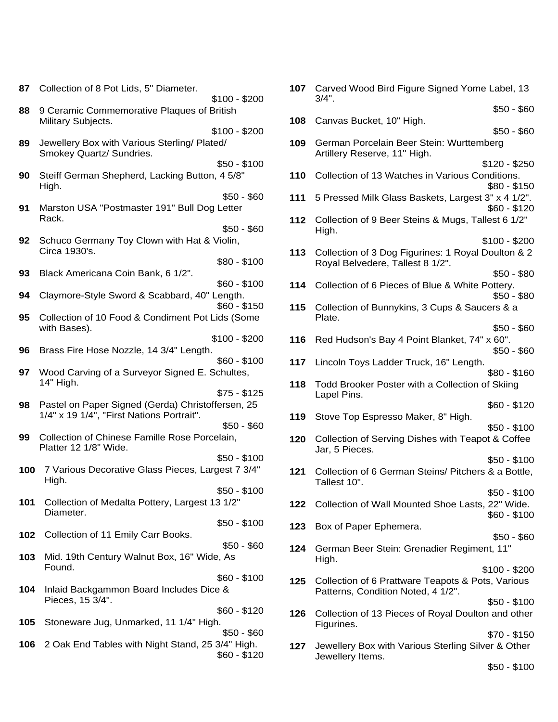| 87  | Collection of 8 Pot Lids, 5" Diameter.<br>$$100 - $200$                                                       | 107 | Carved W<br>$3/4$ ".           |
|-----|---------------------------------------------------------------------------------------------------------------|-----|--------------------------------|
| 88  | 9 Ceramic Commemorative Plaques of British<br>Military Subjects.                                              | 108 | Canvas B                       |
| 89  | $$100 - $200$<br>Jewellery Box with Various Sterling/ Plated/<br>Smokey Quartz/ Sundries.                     | 109 | German I<br><b>Artillery R</b> |
| 90  | $$50 - $100$<br>Steiff German Shepherd, Lacking Button, 4 5/8"<br>High.                                       | 110 | Collection                     |
| 91  | $$50 - $60$<br>Marston USA "Postmaster 191" Bull Dog Letter                                                   | 111 | 5 Presse                       |
|     | Rack.<br>$$50 - $60$                                                                                          | 112 | Collection<br>High.            |
| 92  | Schuco Germany Toy Clown with Hat & Violin,<br>Circa 1930's.<br>$$80 - $100$                                  | 113 | Collection<br>Royal Be         |
| 93  | Black Americana Coin Bank, 6 1/2".<br>$$60 - $100$                                                            | 114 | Collection                     |
| 94  | Claymore-Style Sword & Scabbard, 40" Length.<br>$$60 - $150$                                                  | 115 | Collection                     |
| 95  | Collection of 10 Food & Condiment Pot Lids (Some<br>with Bases).                                              |     | Plate.                         |
| 96  | $$100 - $200$<br>Brass Fire Hose Nozzle, 14 3/4" Length.                                                      | 116 | <b>Red Huds</b>                |
| 97  | $$60 - $100$<br>Wood Carving of a Surveyor Signed E. Schultes,                                                | 117 | Lincoln T                      |
|     | 14" High.<br>$$75 - $125$                                                                                     | 118 | <b>Todd Bro</b><br>Lapel Pin   |
| 98  | Pastel on Paper Signed (Gerda) Christoffersen, 25<br>1/4" x 19 1/4", "First Nations Portrait".<br>$$50 - $60$ | 119 | Stove Top                      |
| 99  | Collection of Chinese Famille Rose Porcelain,<br>Platter 12 1/8" Wide.                                        | 120 | Collection<br>Jar, 5 Pie       |
| 100 | $$50 - $100$<br>7 Various Decorative Glass Pieces, Largest 7 3/4"<br>High.                                    | 121 | Collection<br>Tallest 10       |
| 101 | $$50 - $100$<br>Collection of Medalta Pottery, Largest 13 1/2"<br>Diameter.                                   | 122 | Collection                     |
| 102 | $$50 - $100$<br>Collection of 11 Emily Carr Books.                                                            | 123 | Box of Pa                      |
| 103 | $$50 - $60$<br>Mid. 19th Century Walnut Box, 16" Wide, As<br>Found.                                           | 124 | German I<br>High.              |
| 104 | $$60 - $100$<br>Inlaid Backgammon Board Includes Dice &                                                       | 125 | Collection<br>Patterns,        |
| 105 | Pieces, 15 3/4".<br>$$60 - $120$<br>Stoneware Jug, Unmarked, 11 1/4" High.                                    | 126 | Collection<br>Figurines        |
| 106 | $$50 - $60$<br>2 Oak End Tables with Night Stand, 25 3/4" High.<br>$$60 - $120$                               | 127 | Jewellery<br>Jewellerv         |

| \$100 - \$200              |     | 107 Carved Wood Bird Figure Signed Yome Label, 13<br>$3/4$ ".                           |  |
|----------------------------|-----|-----------------------------------------------------------------------------------------|--|
| <b>British</b>             |     | $$50 - $60$                                                                             |  |
| \$100 - \$200              | 108 | Canvas Bucket, 10" High.<br>$$50 - $60$                                                 |  |
| ed/                        | 109 | German Porcelain Beer Stein: Wurttemberg<br>Artillery Reserve, 11" High.                |  |
| $$50 - $100$               |     | $$120 - $250$                                                                           |  |
| າ, 4 5/8"                  | 110 | Collection of 13 Watches in Various Conditions.<br>$$80 - $150$                         |  |
| $$50 - $60$<br>g Letter    | 111 | 5 Pressed Milk Glass Baskets, Largest 3" x 4 1/2".<br>$$60 - $120$                      |  |
| $$50 - $60$                | 112 | Collection of 9 Beer Steins & Mugs, Tallest 6 1/2"<br>High.                             |  |
| Violin,                    |     | $$100 - $200$                                                                           |  |
| $$80 - $100$               | 113 | Collection of 3 Dog Figurines: 1 Royal Doulton & 2<br>Royal Belvedere, Tallest 8 1/2".  |  |
| $$60 - $100$               | 114 | $$50 - $80$<br>Collection of 6 Pieces of Blue & White Pottery.                          |  |
| Length.                    |     | \$50 - \$80                                                                             |  |
| \$60 - \$150<br>Lids (Some | 115 | Collection of Bunnykins, 3 Cups & Saucers & a<br>Plate.                                 |  |
| \$100 - \$200              |     | $$50 - $60$                                                                             |  |
|                            | 116 | Red Hudson's Bay 4 Point Blanket, 74" x 60".<br>\$50 - \$60                             |  |
| $$60 - $100$               | 117 | Lincoln Toys Ladder Truck, 16" Length.                                                  |  |
| Schultes,                  |     | $$80 - $160$                                                                            |  |
| $$75 - $125$               | 118 | Todd Brooker Poster with a Collection of Skiing<br>Lapel Pins.                          |  |
| ffersen, 25                |     | $$60 - $120$                                                                            |  |
| $$50 - $60$                | 119 | Stove Top Espresso Maker, 8" High.<br>$$50 - $100$                                      |  |
| elain,                     | 120 | Collection of Serving Dishes with Teapot & Coffee<br>Jar, 5 Pieces.                     |  |
| $$50 - $100$               |     | $$50 - $100$                                                                            |  |
| rgest 7 3/4"               | 121 | Collection of 6 German Steins/ Pitchers & a Bottle,<br>Tallest 10".                     |  |
| $$50 - $100$               |     | $$50 - $100$                                                                            |  |
| 13 1/2"                    | 122 | Collection of Wall Mounted Shoe Lasts, 22" Wide.<br>$$60 - $100$                        |  |
| $$50 - $100$               | 123 | Box of Paper Ephemera.<br>$$50 - $60$                                                   |  |
| $$50 - $60$<br>le, As      | 124 | German Beer Stein: Grenadier Regiment, 11"<br>High.                                     |  |
| $$60 - $100$               |     | $$100 - $200$                                                                           |  |
| e &                        | 125 | Collection of 6 Prattware Teapots & Pots, Various<br>Patterns, Condition Noted, 4 1/2". |  |
| $$60 - $120$               | 126 | $$50 - $100$<br>Collection of 13 Pieces of Royal Doulton and other                      |  |
| ıh.                        |     | Figurines.                                                                              |  |
| $$50 - $60$                |     | $$70 - $150$                                                                            |  |
| 3/4" High.<br>$$60 - $120$ | 127 | Jewellery Box with Various Sterling Silver & Other<br>Jewellery Items.                  |  |

\$50 - \$100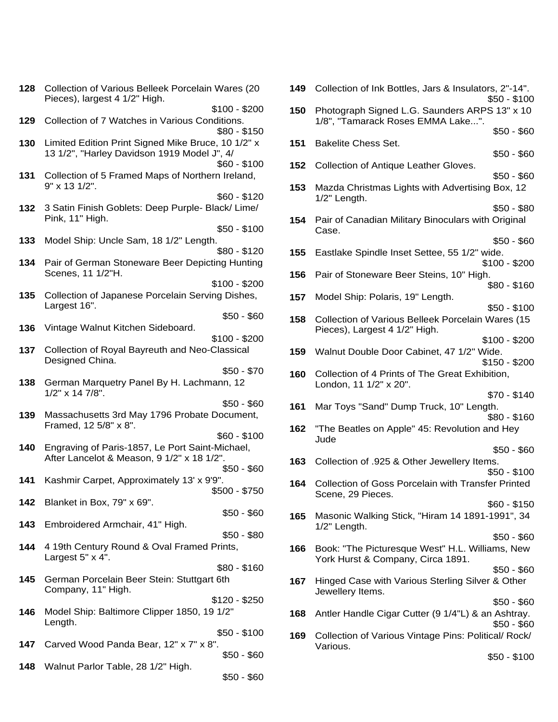|     | 128 Collection of Various Belleek Porcelain Wares (20<br>Pieces), largest 4 1/2" High. | 149. | Collection of Ink Bottles, Jars & Insulators, 2"-14".<br>$$50 - $100$ |
|-----|----------------------------------------------------------------------------------------|------|-----------------------------------------------------------------------|
|     | $$100 - $200$                                                                          |      | 150 Photograph Signed L.G. Saunders ARPS 13" x 10                     |
| 129 | Collection of 7 Watches in Various Conditions.                                         |      | 1/8", "Tamarack Roses EMMA Lake".                                     |
|     | $$80 - $150$                                                                           |      | $$50 - $60$                                                           |
| 130 | Limited Edition Print Signed Mike Bruce, 10 1/2" x                                     | 151  | <b>Bakelite Chess Set.</b>                                            |
|     | 13 1/2", "Harley Davidson 1919 Model J", 4/                                            |      | $$50 - $60$                                                           |
|     | $$60 - $100$                                                                           |      | <b>152</b> Collection of Antique Leather Gloves.                      |
|     | 131 Collection of 5 Framed Maps of Northern Ireland,                                   |      | $$50 - $60$                                                           |
|     | 9" x 13 1/2".                                                                          |      | 153 Mazda Christmas Lights with Advertising Box, 12                   |
|     | $$60 - $120$                                                                           |      | $1/2$ " Length.                                                       |
|     | 132 3 Satin Finish Goblets: Deep Purple- Black/ Lime/                                  |      | $$50 - $80$                                                           |
|     | Pink, 11" High.                                                                        |      | 154 Pair of Canadian Military Binoculars with Original                |
|     | $$50 - $100$                                                                           |      | Case.                                                                 |
| 133 | Model Ship: Uncle Sam, 18 1/2" Length.                                                 |      | $$50 - $60$                                                           |
|     | $$80 - $120$                                                                           | 155  | Eastlake Spindle Inset Settee, 55 1/2" wide.                          |
|     | 134 Pair of German Stoneware Beer Depicting Hunting                                    |      | $$100 - $200$                                                         |
|     | Scenes, 11 1/2"H.                                                                      |      | 156 Pair of Stoneware Beer Steins, 10" High.                          |
|     | $$100 - $200$                                                                          |      | $$80 - $160$                                                          |
| 135 | Collection of Japanese Porcelain Serving Dishes,                                       | 157  | Model Ship: Polaris, 19" Length.                                      |
|     | Largest 16".                                                                           |      | $$50 - $100$                                                          |
|     | $$50 - $60$                                                                            |      | 158 Collection of Various Belleek Porcelain Wares (15                 |
| 136 | Vintage Walnut Kitchen Sideboard.                                                      |      | Pieces), Largest 4 1/2" High.                                         |
|     | $$100 - $200$                                                                          |      | $$100 - $200$                                                         |
| 137 | Collection of Royal Bayreuth and Neo-Classical                                         | 159  | Walnut Double Door Cabinet, 47 1/2" Wide.                             |
|     | Designed China.<br>$$50 - $70$                                                         |      | $$150 - $200$                                                         |
|     | German Marquetry Panel By H. Lachmann, 12                                              |      | 160 Collection of 4 Prints of The Great Exhibition,                   |
| 138 | $1/2$ " x 14 7/8".                                                                     |      | London, 11 1/2" x 20".                                                |
|     | $$50 - $60$                                                                            |      | $$70 - $140$                                                          |
| 139 | Massachusetts 3rd May 1796 Probate Document,                                           | 161  | Mar Toys "Sand" Dump Truck, 10" Length.                               |
|     | Framed, 12 5/8" x 8".                                                                  |      | $$80 - $160$                                                          |
|     | $$60 - $100$                                                                           | 162  | "The Beatles on Apple" 45: Revolution and Hey<br>Jude                 |
| 140 | Engraving of Paris-1857, Le Port Saint-Michael,                                        |      | $$50 - $60$                                                           |
|     | After Lancelot & Meason, 9 1/2" x 18 1/2".                                             |      | 163 Collection of .925 & Other Jewellery Items.                       |
|     | $$50 - $60$                                                                            |      | $$50 - $100$                                                          |
| 141 | Kashmir Carpet, Approximately 13' x 9'9".                                              |      | 164 Collection of Goss Porcelain with Transfer Printed                |
|     | $$500 - $750$                                                                          |      | Scene, 29 Pieces.                                                     |
| 142 | Blanket in Box, 79" x 69".                                                             |      | $$60 - $150$                                                          |
|     | $$50 - $60$                                                                            | 165  | Masonic Walking Stick, "Hiram 14 1891-1991", 34                       |
| 143 | Embroidered Armchair, 41" High.                                                        |      | 1/2" Length.                                                          |
|     | $$50 - $80$                                                                            |      | $$50 - $60$                                                           |
| 144 | 4 19th Century Round & Oval Framed Prints,                                             | 166  | Book: "The Picturesque West" H.L. Williams, New                       |
|     | Largest $5" \times 4"$ .                                                               |      | York Hurst & Company, Circa 1891.                                     |
|     | $$80 - $160$                                                                           |      | $$50 - $60$                                                           |
| 145 | German Porcelain Beer Stein: Stuttgart 6th                                             |      | 167 Hinged Case with Various Sterling Silver & Other                  |
|     | Company, 11" High.                                                                     |      | Jewellery Items.                                                      |
|     | $$120 - $250$                                                                          |      | $$50 - $60$                                                           |
| 146 | Model Ship: Baltimore Clipper 1850, 19 1/2"                                            |      | 168 Antler Handle Cigar Cutter (9 1/4"L) & an Ashtray.                |
|     | Length.                                                                                |      | $$50 - $60$                                                           |
|     | $$50 - $100$                                                                           | 169  | Collection of Various Vintage Pins: Political/Rock/                   |
| 147 | Carved Wood Panda Bear, 12" x 7" x 8".                                                 |      | Various.                                                              |
|     | $$50 - $60$                                                                            |      | $$50 - $100$                                                          |
| 148 | Walnut Parlor Table, 28 1/2" High.<br>$$50 - $60$                                      |      |                                                                       |
|     |                                                                                        |      |                                                                       |

| Wares (20                              | 149 | Collection of Ink Bottles, Jars & Insulators, 2"-14".<br>$$50 - $100$                |
|----------------------------------------|-----|--------------------------------------------------------------------------------------|
| \$100 - \$200<br>ditions.              | 150 | Photograph Signed L.G. Saunders ARPS 13" x 10<br>1/8", "Tamarack Roses EMMA Lake".   |
| \$80 - \$150<br>э, 10 1/2" х<br>J", 4/ | 151 | \$50 - \$60<br><b>Bakelite Chess Set.</b>                                            |
| \$60 - \$100<br>rn Ireland,            | 152 | \$50 - \$60<br>Collection of Antique Leather Gloves.<br>$$50 - $60$                  |
| $$60 - $120$                           | 153 | Mazda Christmas Lights with Advertising Box, 12<br>1/2" Length.                      |
| lack/Lime/<br>$$50 - $100$             | 154 | \$50 - \$80<br>Pair of Canadian Military Binoculars with Original<br>Case.           |
| ٦.<br>$$80 - $120$<br>ting Hunting     | 155 | \$50 - \$60<br>Eastlake Spindle Inset Settee, 55 1/2" wide.<br>\$100 - \$200         |
| \$100 - \$200                          | 156 | Pair of Stoneware Beer Steins, 10" High.<br>$$80 - $160$                             |
| ng Dishes,                             | 157 | Model Ship: Polaris, 19" Length.<br>$$50 - $100$                                     |
| $$50 - $60$<br>\$100 - \$200           | 158 | Collection of Various Belleek Porcelain Wares (15<br>Pieces), Largest 4 1/2" High.   |
| Classical                              | 159 | \$100 - \$200<br>Walnut Double Door Cabinet, 47 1/2" Wide.<br>$$150 - $200$          |
| $$50 - $70$<br>ann, 12                 | 160 | Collection of 4 Prints of The Great Exhibition,<br>London, 11 1/2" x 20".            |
| $$50 - $60$<br>Document,               | 161 | $$70 - $140$<br>Mar Toys "Sand" Dump Truck, 10" Length.<br>$$80 - $160$              |
| $$60 - $100$                           | 162 | "The Beatles on Apple" 45: Revolution and Hey<br>Jude                                |
| -Michael,<br>/2".<br>$$50 - $60$       | 163 | $$50 - $60$<br>Collection of .925 & Other Jewellery Items.<br>$$50 - $100$           |
| 9".<br>\$500 - \$750                   |     | 164 Collection of Goss Porcelain with Transfer Printed<br>Scene, 29 Pieces.          |
| $$50 - $60$                            | 165 | \$60 - \$150<br>Masonic Walking Stick, "Hiram 14 1891-1991", 34<br>1/2" Length.      |
| $$50 - $80$                            |     | $$50 - $60$                                                                          |
| Prints,                                | 166 | Book: "The Picturesque West" H.L. Williams, New<br>York Hurst & Company, Circa 1891. |
| $$80 - $160$<br>∶6th                   | 167 | $$50 - $60$<br>Hinged Case with Various Sterling Silver & Other<br>Jewellery Items.  |
| \$120 - \$250<br>) 1/2"                | 168 | \$50 - \$60<br>Antler Handle Cigar Cutter (9 1/4"L) & an Ashtray.                    |
| $$50 - $100$                           | 169 | \$50 - \$60<br>Collection of Various Vintage Pins: Political/ Rock/                  |
| ш<br>$$50 - $60$                       |     | Various.<br>$$50 - $100$                                                             |
|                                        |     |                                                                                      |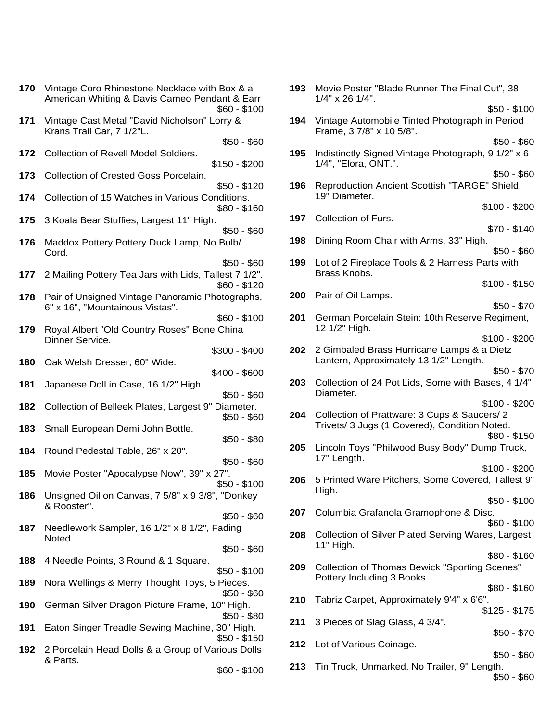| 170        | Vintage Coro Rhinestone Necklace with Box & a<br>American Whiting & Davis Cameo Pendant & Earr<br>$$60 - $100$ | 193 | Movie Poster "Blade Runner"<br>1/4" x 26 1/4".                    |
|------------|----------------------------------------------------------------------------------------------------------------|-----|-------------------------------------------------------------------|
| 171        | Vintage Cast Metal "David Nicholson" Lorry &<br>Krans Trail Car, 7 1/2"L.                                      | 194 | Vintage Automobile Tinted Pl<br>Frame, 3 7/8" x 10 5/8".          |
| 172        | $$50 - $60$<br>Collection of Revell Model Soldiers.<br>$$150 - $200$                                           | 195 | Indistinctly Signed Vintage Pl<br>1/4", "Elora, ONT.".            |
| 173        | Collection of Crested Goss Porcelain.<br>$$50 - $120$                                                          | 196 | <b>Reproduction Ancient Scottis</b>                               |
| 174        | Collection of 15 Watches in Various Conditions.<br>$$80 - $160$                                                |     | 19" Diameter.                                                     |
| 175        | 3 Koala Bear Stuffies, Largest 11" High.<br>$$50 - $60$                                                        | 197 | Collection of Furs.                                               |
| 176        | Maddox Pottery Pottery Duck Lamp, No Bulb/<br>Cord.                                                            | 198 | Dining Room Chair with Arms                                       |
| 177        | $$50 - $60$<br>2 Mailing Pottery Tea Jars with Lids, Tallest 7 1/2".<br>$$60 - $120$                           | 199 | Lot of 2 Fireplace Tools & 2 H<br>Brass Knobs.                    |
| 178        | Pair of Unsigned Vintage Panoramic Photographs,<br>6" x 16", "Mountainous Vistas".                             | 200 | Pair of Oil Lamps.                                                |
| 179        | $$60 - $100$<br>Royal Albert "Old Country Roses" Bone China<br>Dinner Service.                                 | 201 | German Porcelain Stein: 10th<br>12 1/2" High.                     |
| 180        | $$300 - $400$<br>Oak Welsh Dresser, 60" Wide.                                                                  | 202 | 2 Gimbaled Brass Hurricane<br>Lantern, Approximately 13 1/        |
| 181        | $$400 - $600$<br>Japanese Doll in Case, 16 1/2" High.<br>$$50 - $60$                                           | 203 | Collection of 24 Pot Lids, Sor<br>Diameter.                       |
| 182        | Collection of Belleek Plates, Largest 9" Diameter.<br>$$50 - $60$                                              | 204 | Collection of Prattware: 3 Cup<br>Trivets/ 3 Jugs (1 Covered), 0  |
| 183        | Small European Demi John Bottle.<br>$$50 - $80$                                                                | 205 | Lincoln Toys "Philwood Busy                                       |
| 184<br>185 | Round Pedestal Table, 26" x 20".<br>$$50 - $60$<br>Movie Poster "Apocalypse Now", 39" x 27".                   |     | 17" Length.                                                       |
| 186        | $$50 - $100$<br>Unsigned Oil on Canvas, 7 5/8" x 9 3/8", "Donkey                                               | 206 | 5 Printed Ware Pitchers, Som<br>High.                             |
|            | & Rooster".<br>$$50 - $60$                                                                                     | 207 | Columbia Grafanola Gramopl                                        |
| 187        | Needlework Sampler, 16 1/2" x 8 1/2", Fading<br>Noted.<br>$$50 - $60$                                          | 208 | <b>Collection of Silver Plated Se</b><br>11" High.                |
| 188        | 4 Needle Points, 3 Round & 1 Square.<br>$$50 - $100$                                                           | 209 | <b>Collection of Thomas Bewick</b>                                |
| 189        | Nora Wellings & Merry Thought Toys, 5 Pieces.<br>$$50 - $60$                                                   | 210 | Pottery Including 3 Books.<br><b>Tabriz Carpet, Approximately</b> |
| 190        | German Silver Dragon Picture Frame, 10" High.<br>\$50 - \$80                                                   | 211 | 3 Pieces of Slag Glass, 4 3/4                                     |
| 191        | Eaton Singer Treadle Sewing Machine, 30" High.<br>$$50 - $150$                                                 | 212 | Lot of Various Coinage.                                           |
| 192        | 2 Porcelain Head Dolls & a Group of Various Dolls<br>& Parts.<br>$$60 - $100$                                  | 213 | Tin Truck, Unmarked, No Tra                                       |
|            |                                                                                                                |     |                                                                   |

| h Box & a<br>dant & Earr      |     | 193 Movie Poster "Blade Runner The Final Cut", 38<br>$1/4$ " x 26 $1/4$ ".                   |  |
|-------------------------------|-----|----------------------------------------------------------------------------------------------|--|
| \$60 - \$100                  |     | $$50 - $100$                                                                                 |  |
| _orry &                       | 194 | Vintage Automobile Tinted Photograph in Period<br>Frame, 3 7/8" x 10 5/8".                   |  |
| $$50 - $60$                   |     | $$50 - $60$                                                                                  |  |
| \$150 - \$200                 | 195 | Indistinctly Signed Vintage Photograph, 9 1/2" x 6<br>1/4", "Elora, ONT.".                   |  |
|                               |     | $$50 - $60$                                                                                  |  |
| $$50 - $120$<br>nditions.     | 196 | Reproduction Ancient Scottish "TARGE" Shield,<br>19" Diameter.                               |  |
| $$80 - $160$                  |     | $$100 - $200$                                                                                |  |
| $$50 - $60$                   | 197 | Collection of Furs.<br>$$70 - $140$                                                          |  |
| o Bulb/                       | 198 | Dining Room Chair with Arms, 33" High.                                                       |  |
|                               |     | $$50 - $60$                                                                                  |  |
| $$50 - $60$<br>allest 7 1/2". | 199 | Lot of 2 Fireplace Tools & 2 Harness Parts with<br>Brass Knobs.                              |  |
| $$60 - $120$                  |     | $$100 - $150$                                                                                |  |
| hotographs,                   | 200 | Pair of Oil Lamps.                                                                           |  |
|                               |     | $$50 - $70$                                                                                  |  |
| $$60 - $100$<br>e China       | 201 | German Porcelain Stein: 10th Reserve Regiment,<br>12 1/2" High.                              |  |
|                               |     | $$100 - $200$                                                                                |  |
| \$300 - \$400                 | 202 | 2 Gimbaled Brass Hurricane Lamps & a Dietz<br>Lantern, Approximately 13 1/2" Length.         |  |
| \$400 - \$600                 |     | \$50 - \$70                                                                                  |  |
|                               | 203 | Collection of 24 Pot Lids, Some with Bases, 4 1/4"                                           |  |
| $$50 - $60$                   |     | Diameter.                                                                                    |  |
| Diameter.                     |     | $$100 - $200$                                                                                |  |
| $$50 - $60$                   | 204 | Collection of Prattware: 3 Cups & Saucers/2<br>Trivets/ 3 Jugs (1 Covered), Condition Noted. |  |
| $$50 - $80$                   |     | $$80 - $150$                                                                                 |  |
|                               | 205 | Lincoln Toys "Philwood Busy Body" Dump Truck,                                                |  |
| $$50 - $60$                   |     | 17" Length.                                                                                  |  |
| 27".                          |     | $$100 - $200$                                                                                |  |
| \$50 - \$100                  | 206 | 5 Printed Ware Pitchers, Some Covered, Tallest 9"<br>High.                                   |  |
| ", "Donkey                    |     | $$50 - $100$                                                                                 |  |
|                               | 207 | Columbia Grafanola Gramophone & Disc.                                                        |  |
| $$50 - $60$                   |     | $$60 - $100$                                                                                 |  |
| Fading                        | 208 | Collection of Silver Plated Serving Wares, Largest                                           |  |
| $$50 - $60$                   |     | 11" High.                                                                                    |  |
|                               |     | $$80 - $160$                                                                                 |  |
| $$50 - $100$                  | 209 | <b>Collection of Thomas Bewick "Sporting Scenes"</b><br>Pottery Including 3 Books.           |  |
| 5 Pieces.                     |     | $$80 - $160$                                                                                 |  |
| $$50 - $60$                   | 210 | Tabriz Carpet, Approximately 9'4" x 6'6".                                                    |  |
| 10" High.<br>$$50 - $80$      |     | $$125 - $175$                                                                                |  |
| , 30" High.                   | 211 | 3 Pieces of Slag Glass, 4 3/4".                                                              |  |
| $$50 - $150$                  |     | \$50 - \$70                                                                                  |  |
| arious Dolls                  | 212 | Lot of Various Coinage.<br>$$50 - $60$                                                       |  |
|                               | 213 | Tin Truck, Unmarked, No Trailer, 9" Length.                                                  |  |
| $$60 - $100$                  |     | $$50 - $60$                                                                                  |  |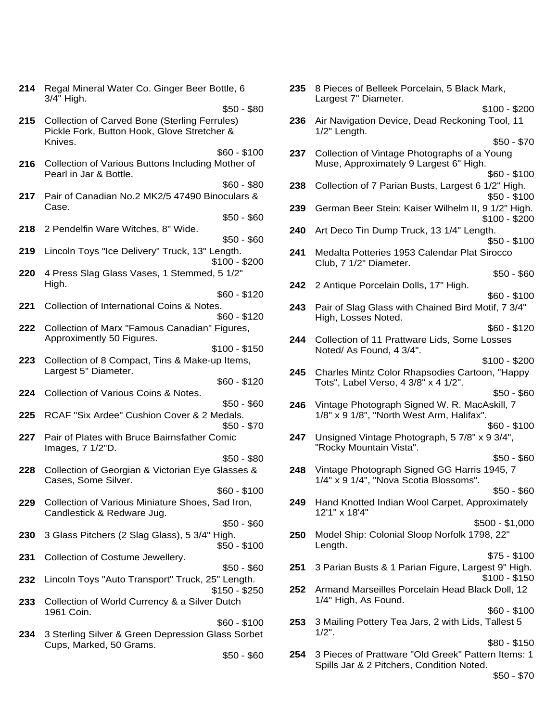|     | 214 Regal Mineral Water Co. Ginger Beer Bottle, 6<br>3/4" High.                                                    | 235 | 8 Pieces of B<br>Largest 7" Dia        |
|-----|--------------------------------------------------------------------------------------------------------------------|-----|----------------------------------------|
| 215 | $$50 - $80$<br><b>Collection of Carved Bone (Sterling Ferrules)</b><br>Pickle Fork, Button Hook, Glove Stretcher & | 236 | Air Navigatior<br>1/2" Length.         |
| 216 | Knives.<br>$$60 - $100$<br>Collection of Various Buttons Including Mother of                                       | 237 | Collection of \<br>Muse, Approx        |
|     | Pearl in Jar & Bottle.<br>$$60 - $80$                                                                              | 238 | Collection of                          |
| 217 | Pair of Canadian No.2 MK2/5 47490 Binoculars &<br>Case.<br>$$50 - $60$                                             | 239 | German Beer                            |
| 218 | 2 Pendelfin Ware Witches, 8" Wide.<br>$$50 - $60$                                                                  | 240 | Art Deco Tin I                         |
| 219 | Lincoln Toys "Ice Delivery" Truck, 13" Length.<br>$$100 - $200$                                                    | 241 | Medalta Potte<br>Club, 7 1/2" D        |
| 220 | 4 Press Slag Glass Vases, 1 Stemmed, 5 1/2"<br>High.                                                               | 242 | 2 Antique Por                          |
| 221 | $$60 - $120$<br>Collection of International Coins & Notes.<br>$$60 - $120$                                         | 243 | Pair of Slag G<br>High, Losses         |
| 222 | Collection of Marx "Famous Canadian" Figures,<br>Approximently 50 Figures.                                         | 244 | Collection of 1                        |
| 223 | $$100 - $150$<br>Collection of 8 Compact, Tins & Make-up Items,                                                    |     | Noted/As For                           |
| 224 | Largest 5" Diameter.<br>$$60 - $120$<br>Collection of Various Coins & Notes.                                       | 245 | <b>Charles Mintz</b><br>Tots", Label \ |
| 225 | $$50 - $60$<br>RCAF "Six Ardee" Cushion Cover & 2 Medals.                                                          | 246 | Vintage Photo<br>$1/8$ " x 9 $1/8$ ",  |
| 227 | $$50 - $70$<br>Pair of Plates with Bruce Bairnsfather Comic                                                        | 247 | Unsigned Vin                           |
| 228 | Images, 7 1/2"D.<br>$$50 - $80$<br>Collection of Georgian & Victorian Eye Glasses &                                | 248 | "Rocky Moun<br>Vintage Photo           |
|     | Cases, Some Silver.<br>$$60 - $100$                                                                                |     | $1/4$ " x 9 $1/4$ ",                   |
| 229 | Collection of Various Miniature Shoes, Sad Iron,<br>Candlestick & Redware Jug.                                     | 249 | <b>Hand Knotted</b><br>12'1" x 18'4"   |
| 230 | $$50 - $60$<br>3 Glass Pitchers (2 Slag Glass), 5 3/4" High.<br>$$50 - $100$                                       | 250 | Model Ship: C<br>Length.               |
| 231 | Collection of Costume Jewellery.<br>$$50 - $60$                                                                    | 251 | 3 Parian Bust                          |
| 232 | Lincoln Toys "Auto Transport" Truck, 25" Length.<br>$$150 - $250$                                                  | 252 | <b>Armand Mars</b>                     |
| 233 | Collection of World Currency & a Silver Dutch<br>1961 Coin.                                                        | 253 | 1/4" High, As<br>3 Mailing Pott        |
| 234 | $$60 - $100$<br>3 Sterling Silver & Green Depression Glass Sorbet<br>Cups, Marked, 50 Grams.                       |     | $1/2$ ".                               |
|     | $$50 - $60$                                                                                                        |     | 254 3 Pieces of P                      |

| 3ottle, 6                 | 235 | 8 Pieces of Belleek Porcelain, 5 Black Mark,<br>Largest 7" Diameter.                   |
|---------------------------|-----|----------------------------------------------------------------------------------------|
| $$50 - $80$               |     | $$100 - $200$                                                                          |
| rrules)                   | 236 | Air Navigation Device, Dead Reckoning Tool, 11                                         |
| her &                     |     | 1/2" Length.<br>$$50 - $70$                                                            |
| $$60 - $100$              | 237 | Collection of Vintage Photographs of a Young                                           |
| Mother of                 |     | Muse, Approximately 9 Largest 6" High.                                                 |
|                           |     | \$60 - \$100                                                                           |
| $$60 - $80$<br>noculars & | 238 | Collection of 7 Parian Busts, Largest 6 1/2" High.<br>$$50 - $100$                     |
| $$50 - $60$               | 239 | German Beer Stein: Kaiser Wilhelm II, 9 1/2" High.<br>$$100 - $200$                    |
|                           | 240 | Art Deco Tin Dump Truck, 13 1/4" Length.                                               |
| $$50 - $60$               |     | \$50 - \$100                                                                           |
| ength.<br>\$100 - \$200   | 241 | Medalta Potteries 1953 Calendar Plat Sirocco<br>Club, 7 1/2" Diameter.                 |
| , 5 1/2"                  |     | $$50 - $60$                                                                            |
|                           | 242 | 2 Antique Porcelain Dolls, 17" High.                                                   |
| $$60 - $120$              |     | \$60 - \$100                                                                           |
| ЭS.<br>$$60 - $120$       | 243 | Pair of Slag Glass with Chained Bird Motif, 7 3/4"<br>High, Losses Noted.              |
| Figures,                  |     | $$60 - $120$                                                                           |
|                           | 244 | Collection of 11 Prattware Lids, Some Losses                                           |
| \$100 - \$150             |     | Noted/As Found, 4 3/4".                                                                |
| up Items,                 |     | $$100 - $200$                                                                          |
| $$60 - $120$              | 245 | Charles Mintz Color Rhapsodies Cartoon, "Happy<br>Tots", Label Verso, 4 3/8" x 4 1/2". |
|                           |     | $$50 - $60$                                                                            |
| $$50 - $60$               | 246 | Vintage Photograph Signed W. R. MacAskill, 7                                           |
| Medals.                   |     | 1/8" x 9 1/8", "North West Arm, Halifax".                                              |
| $$50 - $70$               |     | $$60 - $100$                                                                           |
| Comic                     | 247 | Unsigned Vintage Photograph, 5 7/8" x 9 3/4",<br>"Rocky Mountain Vista".               |
| $$50 - $80$               |     | $$50 - $60$                                                                            |
| Glasses &                 | 248 | Vintage Photograph Signed GG Harris 1945, 7<br>1/4" x 9 1/4", "Nova Scotia Blossoms".  |
| $$60 - $100$              |     | $$50 - $60$                                                                            |
| Sad Iron,                 | 249 | Hand Knotted Indian Wool Carpet, Approximately<br>12'1" x 18'4"                        |
| $$50 - $60$               |     | $$500 - $1,000$                                                                        |
| High.<br>$$50 - $100$     | 250 | Model Ship: Colonial Sloop Norfolk 1798, 22"<br>Length.                                |
|                           |     | $$75 - $100$                                                                           |
| $$50 - $60$<br>5" Length. | 251 | 3 Parian Busts & 1 Parian Figure, Largest 9" High.<br>$$100 - $150$                    |
| \$150 - \$250             | 252 | Armand Marseilles Porcelain Head Black Doll, 12                                        |
| · Dutch                   |     | 1/4" High, As Found.<br>$$60 - $100$                                                   |
| $$60 - $100$              | 253 | 3 Mailing Pottery Tea Jars, 2 with Lids, Tallest 5                                     |
| <b>ilass Sorbet</b>       |     | $1/2$ ".                                                                               |
|                           |     | $$80 - $150$                                                                           |
| $$50 - $60$               | 254 | 3 Pieces of Prattware "Old Greek" Pattern Items: 1                                     |

Spills Jar & 2 Pitchers, Condition Noted.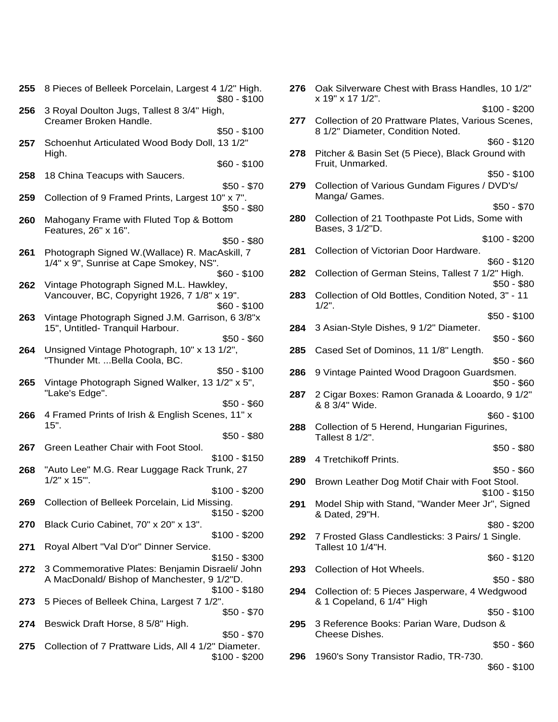| 255 | 8 Pieces of Belleek Porcelain, Largest 4 1/2" High.<br>$$80 - $100$                                     | 276 | Oak Silverwar<br>x 19" x 17 1/2"     |
|-----|---------------------------------------------------------------------------------------------------------|-----|--------------------------------------|
| 256 | 3 Royal Doulton Jugs, Tallest 8 3/4" High,<br>Creamer Broken Handle.                                    | 277 | Collection of 2                      |
| 257 | $$50 - $100$<br>Schoenhut Articulated Wood Body Doll, 13 1/2"                                           |     | 8 1/2" Diamete                       |
|     | High.<br>$$60 - $100$                                                                                   | 278 | Pitcher & Basi<br>Fruit, Unmarke     |
| 258 | 18 China Teacups with Saucers.<br>$$50 - $70$                                                           | 279 | Collection of V                      |
| 259 | Collection of 9 Framed Prints, Largest 10" x 7".<br>$$50 - $80$                                         |     | Manga/ Game                          |
| 260 | Mahogany Frame with Fluted Top & Bottom<br>Features, 26" x 16".                                         | 280 | Collection of 2<br>Bases, 3 1/2"D    |
| 261 | $$50 - $80$<br>Photograph Signed W.(Wallace) R. MacAskill, 7<br>1/4" x 9", Sunrise at Cape Smokey, NS". | 281 | Collection of V                      |
| 262 | $$60 - $100$<br>Vintage Photograph Signed M.L. Hawkley,                                                 | 282 | Collection of G                      |
|     | Vancouver, BC, Copyright 1926, 7 1/8" x 19".<br>$$60 - $100$                                            | 283 | Collection of C<br>$1/2$ ".          |
| 263 | Vintage Photograph Signed J.M. Garrison, 6 3/8"x<br>15", Untitled- Tranquil Harbour.<br>$$50 - $60$     | 284 | 3 Asian-Style                        |
| 264 | Unsigned Vintage Photograph, 10" x 13 1/2",<br>"Thunder Mt.  Bella Coola, BC.                           | 285 | Cased Set of I                       |
| 265 | \$50 - \$100<br>Vintage Photograph Signed Walker, 13 1/2" x 5",                                         | 286 | 9 Vintage Pair                       |
| 266 | "Lake's Edge".<br>$$50 - $60$<br>4 Framed Prints of Irish & English Scenes, 11" x                       | 287 | 2 Cigar Boxes<br>& 8 3/4" Wide.      |
|     | $15"$ .<br>$$50 - $80$                                                                                  | 288 | Collection of 5<br>Tallest 8 1/2".   |
| 267 | Green Leather Chair with Foot Stool.<br>$$100 - $150$                                                   | 289 | 4 Tretchikoff P                      |
| 268 | "Auto Lee" M.G. Rear Luggage Rack Trunk, 27<br>$1/2" \times 15"$ .                                      | 290 | <b>Brown Leather</b>                 |
| 269 | $$100 - $200$<br>Collection of Belleek Porcelain, Lid Missing.<br>\$150 - \$200                         | 291 | Model Ship wit<br>& Dated, 29"H      |
| 270 | Black Curio Cabinet, 70" x 20" x 13".<br>$$100 - $200$                                                  | 292 | 7 Frosted Glas                       |
| 271 | Royal Albert "Val D'or" Dinner Service.<br>\$150 - \$300                                                |     | Tallest 10 1/4"                      |
| 272 | 3 Commemorative Plates: Benjamin Disraeli/ John<br>A MacDonald/Bishop of Manchester, 9 1/2"D.           | 293 | Collection of H                      |
| 273 | \$100 - \$180<br>5 Pieces of Belleek China, Largest 7 1/2".<br>$$50 - $70$                              | 294 | Collection of: 5<br>& 1 Copeland,    |
| 274 | Beswick Draft Horse, 8 5/8" High.<br>$$50 - $70$                                                        | 295 | 3 Reference B<br><b>Cheese Dishe</b> |
| 275 | Collection of 7 Prattware Lids, All 4 1/2" Diameter.<br>$$100 - $200$                                   | 296 | 1960's Sony T                        |

| 4 1/2" High.<br>$$80 - $100$    | 276 | Oak Silverware Chest with Brass Handles, 10 1/2"<br>x 19" x 17 1/2".                    |
|---------------------------------|-----|-----------------------------------------------------------------------------------------|
| gh,                             |     | $$100 - $200$                                                                           |
| $$50 - $100$                    | 277 | Collection of 20 Prattware Plates, Various Scenes,<br>8 1/2" Diameter, Condition Noted. |
| , 13 1/2"                       |     | $$60 - $120$                                                                            |
| $$60 - $100$                    | 278 | Pitcher & Basin Set (5 Piece), Black Ground with<br>Fruit, Unmarked.                    |
|                                 |     | $$50 - $100$                                                                            |
| $$50 - $70$<br>$10" \times 7".$ | 279 | Collection of Various Gundam Figures / DVD's/<br>Manga/ Games.                          |
| $$50 - $80$                     |     | $$50 - $70$                                                                             |
| ottom                           | 280 | Collection of 21 Toothpaste Pot Lids, Some with<br>Bases, 3 1/2"D.                      |
| $$50 - $80$                     |     | $$100 - $200$                                                                           |
| cAskill, 7                      | 281 | Collection of Victorian Door Hardware.                                                  |
|                                 |     | $$60 - $120$                                                                            |
| $$60 - $100$<br>ley,            | 282 | Collection of German Steins, Tallest 7 1/2" High.<br>\$50 - \$80                        |
| x 19".                          | 283 | Collection of Old Bottles, Condition Noted, 3" - 11                                     |
| $$60 - $100$                    |     | $1/2$ ".                                                                                |
| son, 6 3/8"x                    |     | $$50 - $100$                                                                            |
|                                 | 284 | 3 Asian-Style Dishes, 9 1/2" Diameter.                                                  |
| $$50 - $60$                     |     | $$50 - $60$                                                                             |
| 3 1/2",                         | 285 | Cased Set of Dominos, 11 1/8" Length.                                                   |
| $$50 - $100$                    |     | \$50 - \$60                                                                             |
| $1/2" \times 5",$               | 286 | 9 Vintage Painted Wood Dragoon Guardsmen.<br>$$50 - $60$                                |
|                                 | 287 | 2 Cigar Boxes: Ramon Granada & Looardo, 9 1/2"                                          |
| $$50 - $60$                     |     | & 8 3/4" Wide.                                                                          |
| າes, 11" x                      |     | $$60 - $100$                                                                            |
| $$50 - $80$                     | 288 | Collection of 5 Herend, Hungarian Figurines,<br>Tallest 8 1/2".                         |
|                                 |     | $$50 - $80$                                                                             |
| \$100 - \$150                   | 289 | 4 Tretchikoff Prints.                                                                   |
| runk, 27                        |     | \$50 - \$60                                                                             |
|                                 | 290 | Brown Leather Dog Motif Chair with Foot Stool.                                          |
| \$100 - \$200                   |     | $$100 - $150$                                                                           |
| sing.                           | 291 | Model Ship with Stand, "Wander Meer Jr", Signed                                         |
| \$150 - \$200                   |     | & Dated, 29"H.                                                                          |
|                                 |     | \$80 - \$200                                                                            |
| \$100 - \$200                   | 292 | 7 Frosted Glass Candlesticks: 3 Pairs/ 1 Single.<br>Tallest 10 1/4"H.                   |
| \$150 - \$300                   |     | \$60 - \$120                                                                            |
| sraeli/ John                    | 293 | Collection of Hot Wheels.                                                               |
| ) 1/2"D.                        |     | $$50 - $80$                                                                             |
| \$100 - \$180<br>2".            | 294 | Collection of: 5 Pieces Jasperware, 4 Wedgwood<br>& 1 Copeland, 6 1/4" High             |
| $$50 - $70$                     |     | \$50 - \$100                                                                            |
|                                 | 295 | 3 Reference Books: Parian Ware, Dudson &                                                |
| $$50 - $70$                     |     | Cheese Dishes.                                                                          |
| " Diameter.                     |     | $$50 - $60$                                                                             |
| \$100 - \$200                   | 296 | 1960's Sony Transistor Radio, TR-730.                                                   |
|                                 |     | $$60 - $100$                                                                            |